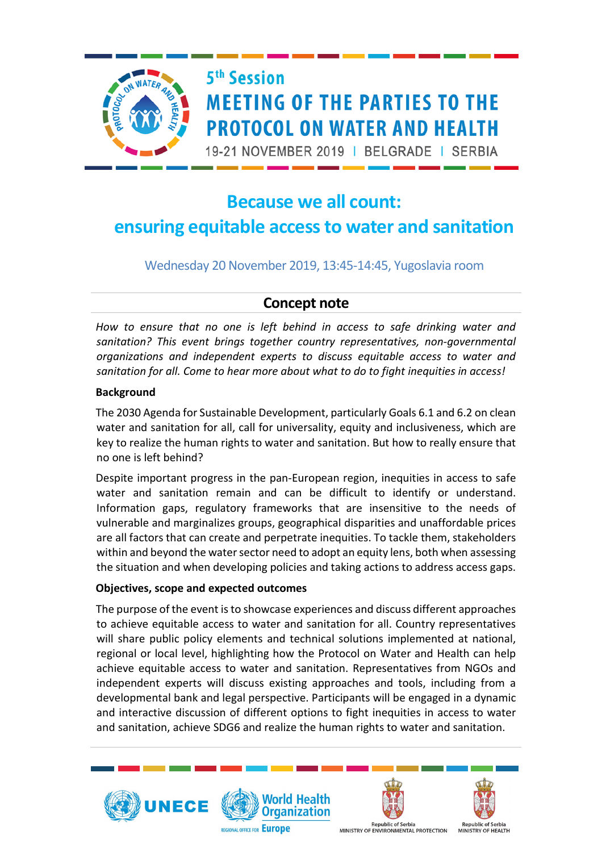

# 5<sup>th</sup> Session **MEETING OF THE PARTIES TO THE PROTOCOL ON WATER AND HEALTH**

19-21 NOVEMBER 2019 | BELGRADE | SERBIA

## **Because we all count: ensuring equitable access to water and sanitation**

Wednesday 20 November 2019, 13:45-14:45, Yugoslavia room

### **Concept note**

*How to ensure that no one is left behind in access to safe drinking water and sanitation? This event brings together country representatives, non-governmental organizations and independent experts to discuss equitable access to water and sanitation for all. Come to hear more about what to do to fight inequities in access!*

#### **Background**

The 2030 Agenda for Sustainable Development, particularly Goals 6.1 and 6.2 on clean water and sanitation for all, call for universality, equity and inclusiveness, which are key to realize the human rights to water and sanitation. But how to really ensure that no one is left behind?

Despite important progress in the pan-European region, inequities in access to safe water and sanitation remain and can be difficult to identify or understand. Information gaps, regulatory frameworks that are insensitive to the needs of vulnerable and marginalizes groups, geographical disparities and unaffordable prices are all factors that can create and perpetrate inequities. To tackle them, stakeholders within and beyond the water sector need to adopt an equity lens, both when assessing the situation and when developing policies and taking actions to address access gaps.

#### **Objectives, scope and expected outcomes**

The purpose of the event is to showcase experiences and discuss different approaches to achieve equitable access to water and sanitation for all. Country representatives will share public policy elements and technical solutions implemented at national, regional or local level, highlighting how the Protocol on Water and Health can help achieve equitable access to water and sanitation. Representatives from NGOs and independent experts will discuss existing approaches and tools, including from a developmental bank and legal perspective. Participants will be engaged in a dynamic and interactive discussion of different options to fight inequities in access to water and sanitation, achieve SDG6 and realize the human rights to water and sanitation.









**Republic of Serbia** MINISTRY OF ENVIRONMENTAL PROTECTION

epublic of Serbia **MINISTRY OF HEALTH**